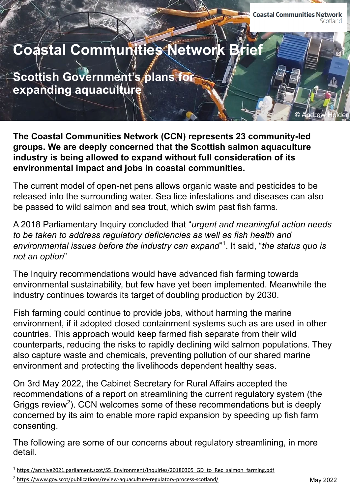© Andrew Holder

# **Coastal Communities Network Brie**

**Scottish Government's plans for expanding aquaculture**

**The Coastal Communities Network (CCN) represents 23 community-led groups. We are deeply concerned that the Scottish salmon aquaculture industry is being allowed to expand without full consideration of its environmental impact and jobs in coastal communities.**

The current model of open-net pens allows organic waste and pesticides to be released into the surrounding water. Sea lice infestations and diseases can also be passed to wild salmon and sea trout, which swim past fish farms.

A 2018 Parliamentary Inquiry concluded that "*urgent and meaningful action needs to be taken to address regulatory deficiencies as well as fish health and environmental issues before the industry can expand*" 1 . It said, "*the status quo is not an option*"

The Inquiry recommendations would have advanced fish farming towards environmental sustainability, but few have yet been implemented. Meanwhile the industry continues towards its target of doubling production by 2030.

Fish farming could continue to provide jobs, without harming the marine environment, if it adopted closed containment systems such as are used in other countries. This approach would keep farmed fish separate from their wild counterparts, reducing the risks to rapidly declining wild salmon populations. They also capture waste and chemicals, preventing pollution of our shared marine environment and protecting the livelihoods dependent healthy seas.

On 3rd May 2022, the Cabinet Secretary for Rural Affairs accepted the recommendations of a report on streamlining the current regulatory system (the Griggs review<sup>2</sup>). CCN welcomes some of these recommendations but is deeply concerned by its aim to enable more rapid expansion by speeding up fish farm consenting.

The following are some of our concerns about regulatory streamlining, in more detail.

<sup>&</sup>lt;sup>1</sup> https://archive2021.parliament.scot/S5 Environment/Inquiries/20180305 GD to Rec salmon farming.pdf

<sup>&</sup>lt;sup>2</sup> <https://www.gov.scot/publications/review-aquaculture-regulatory-process-scotland/>